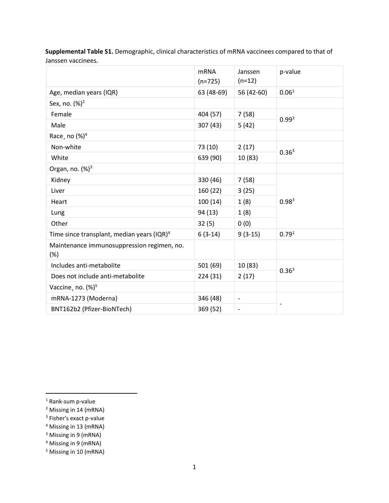|                                                      | <b>mRNA</b><br>$(n=725)$ | Janssen<br>$(n=12)$          | p-value           |  |  |
|------------------------------------------------------|--------------------------|------------------------------|-------------------|--|--|
| Age, median years (IQR)                              | 63 (48-69)               | 56 (42-60)                   | 0.06 <sup>1</sup> |  |  |
| Sex, no. (%) <sup>2</sup>                            |                          |                              |                   |  |  |
| Female                                               | 404 (57)                 | 7(58)                        | 0.99 <sup>3</sup> |  |  |
| Male                                                 | 307 (43)                 | 5(42)                        |                   |  |  |
| Race, no $(\%)^4$                                    |                          |                              |                   |  |  |
| Non-white                                            | 73 (10)                  | 2(17)                        | 0.36 <sup>3</sup> |  |  |
| White                                                | 639 (90)                 | 10 (83)                      |                   |  |  |
| Organ, no. $(%)^3$                                   |                          |                              |                   |  |  |
| Kidney                                               | 330 (46)                 | 7(58)                        | 0.98 <sup>3</sup> |  |  |
| Liver                                                | 160 (22)                 | 3(25)                        |                   |  |  |
| Heart                                                | 100(14)                  | 1(8)                         |                   |  |  |
| Lung                                                 | 94 (13)                  | 1(8)                         |                   |  |  |
| Other                                                | 32(5)                    | 0(0)                         |                   |  |  |
| Time since transplant, median years $( IQR)^4$       | $6(3-14)$                | $9(3-15)$                    | 0.79 <sup>1</sup> |  |  |
| Maintenance immunosuppression regimen, no.<br>$(\%)$ |                          |                              |                   |  |  |
| Includes anti-metabolite                             | 501 (69)                 | 10 (83)                      |                   |  |  |
| Does not include anti-metabolite                     | 224 (31)                 | 2(17)                        | 0.36 <sup>3</sup> |  |  |
| Vaccine, no. (%) <sup>5</sup>                        |                          |                              |                   |  |  |
| mRNA-1273 (Moderna)                                  | 346 (48)                 | $\qquad \qquad \blacksquare$ |                   |  |  |
| BNT162b2 (Pfizer-BioNTech)                           | 369 (52)                 | $\overline{a}$               |                   |  |  |

**Supplemental Table S1.** Demographic, clinical characteristics of mRNA vaccinees compared to that of Janssen vaccinees.

- <sup>3</sup> Fisher's exact p-value
- <sup>4</sup> Missing in 13 (mRNA)

<sup>&</sup>lt;sup>1</sup> Rank-sum p-value

<sup>&</sup>lt;sup>2</sup> Missing in 14 (mRNA)

<sup>&</sup>lt;sup>3</sup> Missing in 9 (mRNA)

<sup>4</sup> Missing in 9 (mRNA)

<sup>5</sup> Missing in 10 (mRNA)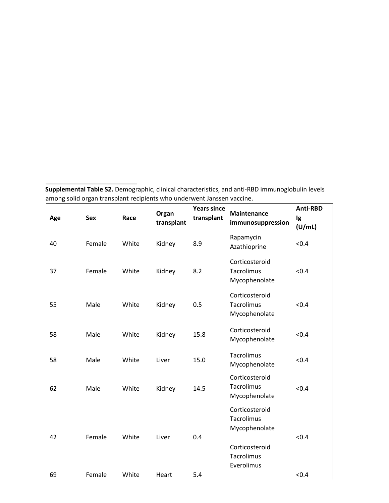**Supplemental Table S2.** Demographic, clinical characteristics, and anti-RBD immunoglobulin levels among solid organ transplant recipients who underwent Janssen vaccine.

| Age | <b>Sex</b> | Race  | Organ<br>transplant | <b>Years since</b><br>transplant | <b>Maintenance</b><br>immunosuppression       | <b>Anti-RBD</b><br>Ig<br>(U/mL) |
|-----|------------|-------|---------------------|----------------------------------|-----------------------------------------------|---------------------------------|
| 40  | Female     | White | Kidney              | 8.9                              | Rapamycin<br>Azathioprine                     | < 0.4                           |
| 37  | Female     | White | Kidney              | 8.2                              | Corticosteroid<br>Tacrolimus<br>Mycophenolate | < 0.4                           |
| 55  | Male       | White | Kidney              | 0.5                              | Corticosteroid<br>Tacrolimus<br>Mycophenolate | < 0.4                           |
| 58  | Male       | White | Kidney              | 15.8                             | Corticosteroid<br>Mycophenolate               | < 0.4                           |
| 58  | Male       | White | Liver               | 15.0                             | Tacrolimus<br>Mycophenolate                   | < 0.4                           |
| 62  | Male       | White | Kidney              | 14.5                             | Corticosteroid<br>Tacrolimus<br>Mycophenolate | < 0.4                           |
|     |            |       |                     |                                  | Corticosteroid<br>Tacrolimus<br>Mycophenolate |                                 |
| 42  | Female     | White | Liver               | 0.4                              | Corticosteroid<br>Tacrolimus<br>Everolimus    | < 0.4                           |
| 69  | Female     | White | Heart               | 5.4                              |                                               | < 0.4                           |